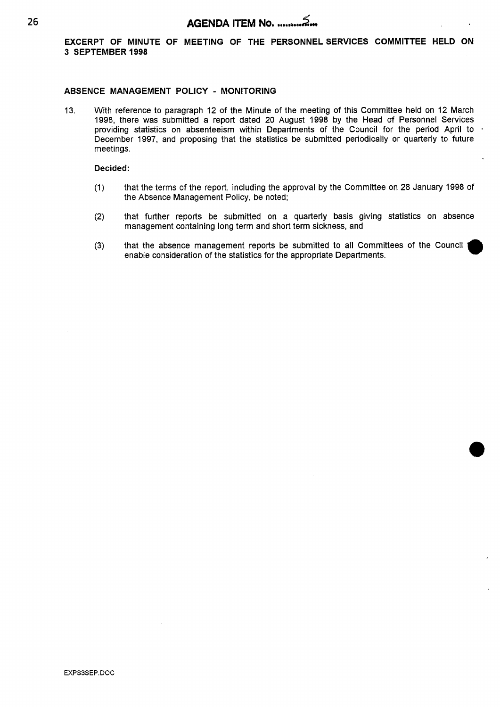**EXCERPT OF MINUTE OF MEETING OF THE PERSONNELSERVICES COMMITTEE HELD ON 3 SEPTEMBER 1998** 

### **ABSENCE MANAGEMENT POLICY** - **MONITORING**

13. With reference to paragraph 12 of the Minute of the meeting of this Committee held on 12 March 1998, there was submitted a report dated 20 August 1998 by the Head *of* Personnel Services providing statistics on absenteeism within Departments of the Council for the period April to - December 1997, and proposing that the statistics be submitted periodically or quarterly to future meetings.

#### Decided:

- (I) that the terms of the report, including the approval by the Committee on 28 January 1998 of the Absence Management Policy, be noted;
- (2) that further reports be submitted on a quarterly basis giving statistics on absence management containing long term and short term sickness, and
- (3) that the absence management reports be submitted to all Committees of the Council enable consideration of the statistics for the appropriate Departments. **m**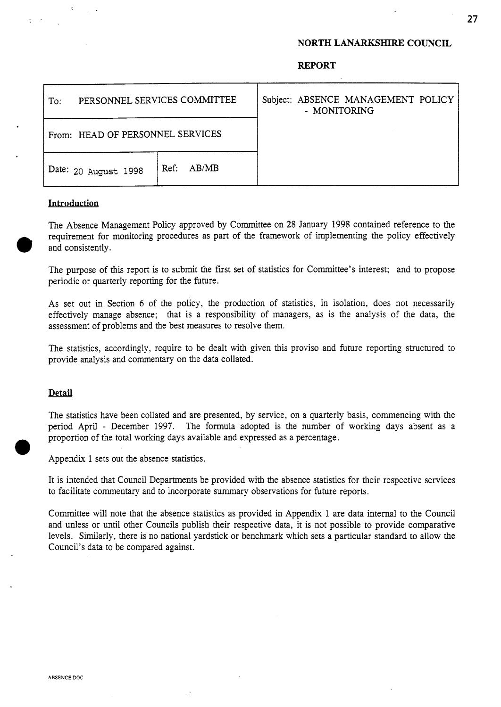## **NORTH LANARKSHIRE COUNCIL**

| PERSONNEL SERVICES COMMITTEE<br>To: |            | Subject: ABSENCE MANAGEMENT POLICY<br>- MONITORING |
|-------------------------------------|------------|----------------------------------------------------|
| From: HEAD OF PERSONNEL SERVICES    |            |                                                    |
| Date: 20 August 1998                | Ref: AB/MB |                                                    |

### **Introduction**

The Absence Management Policy approved by Committee on **28** January 1998 contained reference to the requirement for monitoring procedures as part of the framework of implementing the policy effectively and consistently.

The purpose of this report is to submit the first set of statistics for Committee's interest; and to propose periodic or quarterly reporting for the future.

**As** set out in Section 6 of the policy, the production of statistics, in isolation, does not necessarily effectively manage absence; that is a responsibility of managers, as is the analysis of the data, the assessment of problems and the best measures to resolve them.

The statistics, accordingly, require to be dealt with given this proviso and future reporting structured to provide analysis and commentary on the data collated.

### **Detail**

The statistics have been collated and are presented, by service, on a quarterly basis, commencing with the period April - December 1997. The formula adopted is the number of working days absent as a proportion of the total working days available and expressed as a percentage.<br>*Appendix 1 sets out the absence statistics*.

It is intended that Council Departments be provided with the absence statistics for their respective services to facilitate commentary and to incorporate summary observations for future reports.

Committee will note that the absence statistics as provided in Appendix 1 are data internal to the Council and unless or until other Councils publish their respective data, it is not possible to provide comparative levels. Similarly, there is no national yardstick or benchmark which sets a particular standard to allow the Council's data to be compared against.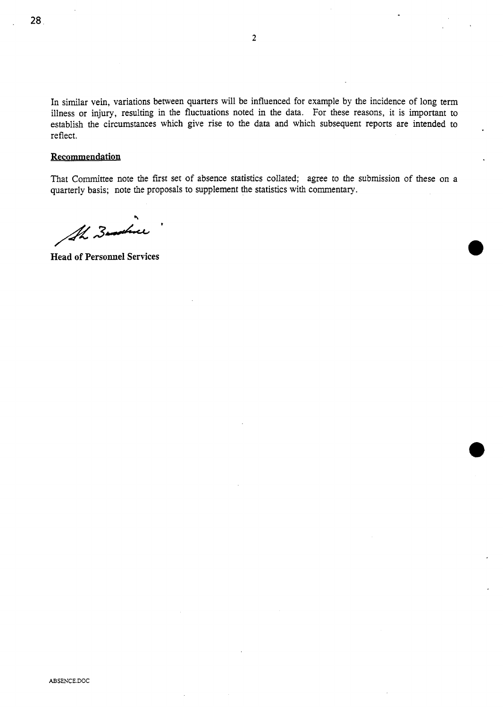In similar vein, variations between quarters will be influenced for example by the incidence of long term illness or injury, resulting in the fluctuations noted in the data. For these reasons, it is important to establish the circumstances which give rise to the data and which subsequent reports are intended to reflect.

### **Recommendation**

That Committee note the first set of absence statistics collated; agree to the submission of these on a quarterly basis; note the proposals to supplement the statistics with commentary.

*cr*  AL Zoother

**Head of Personnel Services**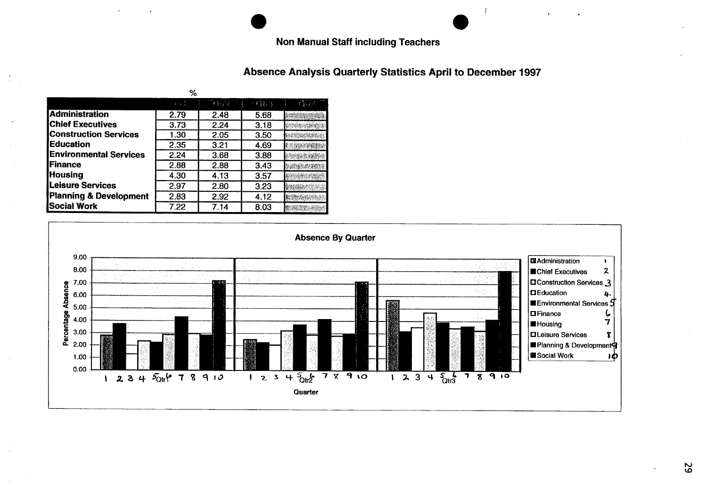# **Non Manual Staff including Teachers**

# Absence Analysis Quarterly Statistics April to December 1997

| %                             |          |      |             |       |  |  |  |
|-------------------------------|----------|------|-------------|-------|--|--|--|
|                               | $-3.7.1$ | 一杯屋の | $(1)$ $(3)$ | Card. |  |  |  |
| <b>Administration</b>         | 2.79     | 2.48 | 5.68        |       |  |  |  |
| <b>Chief Executives</b>       | 3.73     | 2.24 | 3.18        |       |  |  |  |
| <b>Construction Services</b>  | 1.30     | 2.05 | 3.50        |       |  |  |  |
| <b>Education</b>              | 2.35     | 3.21 | 4.69        |       |  |  |  |
| <b>Environmental Services</b> | 2.24     | 3.68 | 3.88        |       |  |  |  |
| <b>IFinance</b>               | 2.88     | 2.88 | 3.43        |       |  |  |  |
| <b>Housing</b>                | 4.30     | 4.13 | 3.57        |       |  |  |  |
| Leisure Services              | 2.97     | 2.80 | 3.23        |       |  |  |  |
| Planning & Development        | 2.83     | 2.92 | 4.12        |       |  |  |  |
| Social Work                   | 7.22     | 7.14 | 8.03        |       |  |  |  |



52